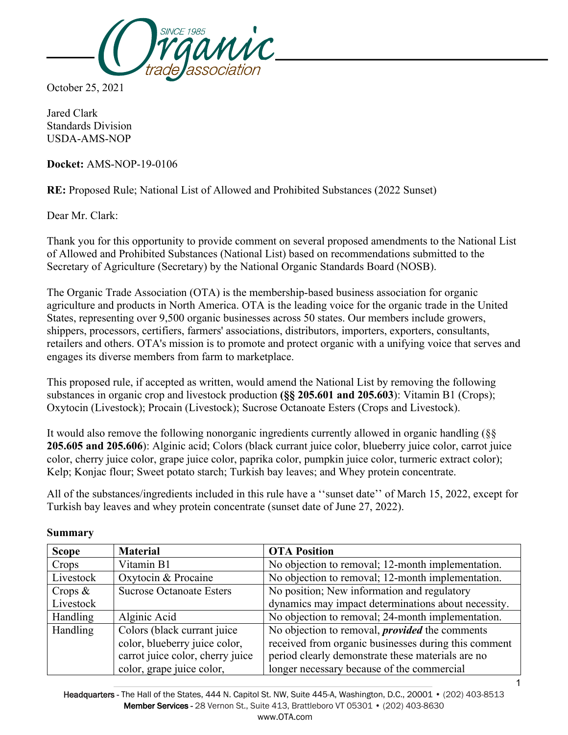

October 25, 2021

Jared Clark Standards Division USDA-AMS-NOP

**Docket:** AMS-NOP-19-0106

**RE:** Proposed Rule; National List of Allowed and Prohibited Substances (2022 Sunset)

Dear Mr. Clark:

Thank you for this opportunity to provide comment on several proposed amendments to the National List of Allowed and Prohibited Substances (National List) based on recommendations submitted to the Secretary of Agriculture (Secretary) by the National Organic Standards Board (NOSB).

The Organic Trade Association (OTA) is the membership-based business association for organic agriculture and products in North America. OTA is the leading voice for the organic trade in the United States, representing over 9,500 organic businesses across 50 states. Our members include growers, shippers, processors, certifiers, farmers' associations, distributors, importers, exporters, consultants, retailers and others. OTA's mission is to promote and protect organic with a unifying voice that serves and engages its diverse members from farm to marketplace.

This proposed rule, if accepted as written, would amend the National List by removing the following substances in organic crop and livestock production **(§§ 205.601 and 205.603**): Vitamin B1 (Crops); Oxytocin (Livestock); Procain (Livestock); Sucrose Octanoate Esters (Crops and Livestock).

It would also remove the following nonorganic ingredients currently allowed in organic handling (§§ **205.605 and 205.606**): Alginic acid; Colors (black currant juice color, blueberry juice color, carrot juice color, cherry juice color, grape juice color, paprika color, pumpkin juice color, turmeric extract color); Kelp; Konjac flour; Sweet potato starch; Turkish bay leaves; and Whey protein concentrate.

All of the substances/ingredients included in this rule have a ''sunset date'' of March 15, 2022, except for Turkish bay leaves and whey protein concentrate (sunset date of June 27, 2022).

| <b>Scope</b> | <b>Material</b>                  | <b>OTA Position</b>                                   |
|--------------|----------------------------------|-------------------------------------------------------|
| Crops        | Vitamin B1                       | No objection to removal; 12-month implementation.     |
| Livestock    | Oxytocin & Procaine              | No objection to removal; 12-month implementation.     |
| Crops $\&$   | <b>Sucrose Octanoate Esters</b>  | No position; New information and regulatory           |
| Livestock    |                                  | dynamics may impact determinations about necessity.   |
| Handling     | Alginic Acid                     | No objection to removal; 24-month implementation.     |
| Handling     | Colors (black currant juice      | No objection to removal, <i>provided</i> the comments |
|              | color, blueberry juice color,    | received from organic businesses during this comment  |
|              | carrot juice color, cherry juice | period clearly demonstrate these materials are no     |
|              | color, grape juice color,        | longer necessary because of the commercial            |

#### **Summary**

Headquarters - The Hall of the States, 444 N. Capitol St. NW, Suite 445-A, Washington, D.C., 20001 • (202) 403-8513 Member Services - 28 Vernon St., Suite 413, Brattleboro VT 05301 • (202) 403-8630 www.OTA.com

1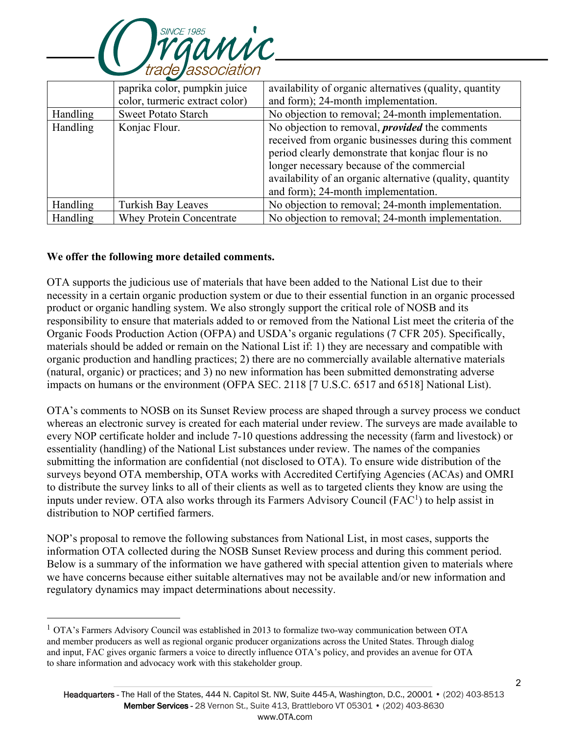

|          | paprika color, pumpkin juice    | availability of organic alternatives (quality, quantity   |
|----------|---------------------------------|-----------------------------------------------------------|
|          | color, turmeric extract color)  | and form); 24-month implementation.                       |
| Handling | <b>Sweet Potato Starch</b>      | No objection to removal; 24-month implementation.         |
| Handling | Konjac Flour.                   | No objection to removal, <i>provided</i> the comments     |
|          |                                 | received from organic businesses during this comment      |
|          |                                 | period clearly demonstrate that konjac flour is no        |
|          |                                 | longer necessary because of the commercial                |
|          |                                 | availability of an organic alternative (quality, quantity |
|          |                                 | and form); 24-month implementation.                       |
| Handling | <b>Turkish Bay Leaves</b>       | No objection to removal; 24-month implementation.         |
| Handling | <b>Whey Protein Concentrate</b> | No objection to removal; 24-month implementation.         |

### **We offer the following more detailed comments.**

OTA supports the judicious use of materials that have been added to the National List due to their necessity in a certain organic production system or due to their essential function in an organic processed product or organic handling system. We also strongly support the critical role of NOSB and its responsibility to ensure that materials added to or removed from the National List meet the criteria of the Organic Foods Production Action (OFPA) and USDA's organic regulations (7 CFR 205). Specifically, materials should be added or remain on the National List if: 1) they are necessary and compatible with organic production and handling practices; 2) there are no commercially available alternative materials (natural, organic) or practices; and 3) no new information has been submitted demonstrating adverse impacts on humans or the environment (OFPA SEC. 2118 [7 U.S.C. 6517 and 6518] National List).

OTA's comments to NOSB on its Sunset Review process are shaped through a survey process we conduct whereas an electronic survey is created for each material under review. The surveys are made available to every NOP certificate holder and include 7-10 questions addressing the necessity (farm and livestock) or essentiality (handling) of the National List substances under review. The names of the companies submitting the information are confidential (not disclosed to OTA). To ensure wide distribution of the surveys beyond OTA membership, OTA works with Accredited Certifying Agencies (ACAs) and OMRI to distribute the survey links to all of their clients as well as to targeted clients they know are using the inputs under review. OTA also works through its Farmers Advisory Council (FAC<sup>1</sup>) to help assist in distribution to NOP certified farmers.

NOP's proposal to remove the following substances from National List, in most cases, supports the information OTA collected during the NOSB Sunset Review process and during this comment period. Below is a summary of the information we have gathered with special attention given to materials where we have concerns because either suitable alternatives may not be available and/or new information and regulatory dynamics may impact determinations about necessity.

 $1$  OTA's Farmers Advisory Council was established in 2013 to formalize two-way communication between OTA and member producers as well as regional organic producer organizations across the United States. Through dialog and input, FAC gives organic farmers a voice to directly influence OTA's policy, and provides an avenue for OTA to share information and advocacy work with this stakeholder group.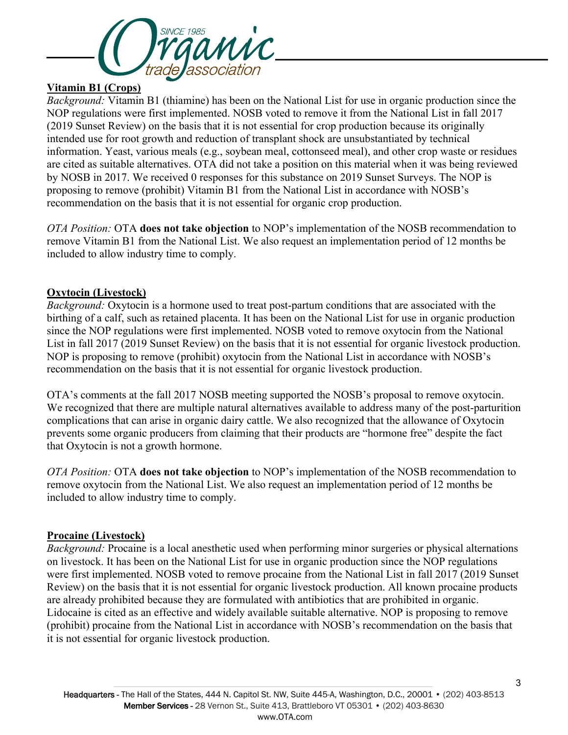

### **Vitamin B1 (Crops)**

*Background:* Vitamin B1 (thiamine) has been on the National List for use in organic production since the NOP regulations were first implemented. NOSB voted to remove it from the National List in fall 2017 (2019 Sunset Review) on the basis that it is not essential for crop production because its originally intended use for root growth and reduction of transplant shock are unsubstantiated by technical information. Yeast, various meals (e.g., soybean meal, cottonseed meal), and other crop waste or residues are cited as suitable alternatives. OTA did not take a position on this material when it was being reviewed by NOSB in 2017. We received 0 responses for this substance on 2019 Sunset Surveys. The NOP is proposing to remove (prohibit) Vitamin B1 from the National List in accordance with NOSB's recommendation on the basis that it is not essential for organic crop production.

*OTA Position:* OTA **does not take objection** to NOP's implementation of the NOSB recommendation to remove Vitamin B1 from the National List. We also request an implementation period of 12 months be included to allow industry time to comply.

## **Oxytocin (Livestock)**

*Background:* Oxytocin is a hormone used to treat post-partum conditions that are associated with the birthing of a calf, such as retained placenta. It has been on the National List for use in organic production since the NOP regulations were first implemented. NOSB voted to remove oxytocin from the National List in fall 2017 (2019 Sunset Review) on the basis that it is not essential for organic livestock production. NOP is proposing to remove (prohibit) oxytocin from the National List in accordance with NOSB's recommendation on the basis that it is not essential for organic livestock production.

OTA's comments at the fall 2017 NOSB meeting supported the NOSB's proposal to remove oxytocin. We recognized that there are multiple natural alternatives available to address many of the post-parturition complications that can arise in organic dairy cattle. We also recognized that the allowance of Oxytocin prevents some organic producers from claiming that their products are "hormone free" despite the fact that Oxytocin is not a growth hormone.

*OTA Position:* OTA **does not take objection** to NOP's implementation of the NOSB recommendation to remove oxytocin from the National List. We also request an implementation period of 12 months be included to allow industry time to comply.

### **Procaine (Livestock)**

*Background:* Procaine is a local anesthetic used when performing minor surgeries or physical alternations on livestock. It has been on the National List for use in organic production since the NOP regulations were first implemented. NOSB voted to remove procaine from the National List in fall 2017 (2019 Sunset Review) on the basis that it is not essential for organic livestock production. All known procaine products are already prohibited because they are formulated with antibiotics that are prohibited in organic. Lidocaine is cited as an effective and widely available suitable alternative. NOP is proposing to remove (prohibit) procaine from the National List in accordance with NOSB's recommendation on the basis that it is not essential for organic livestock production.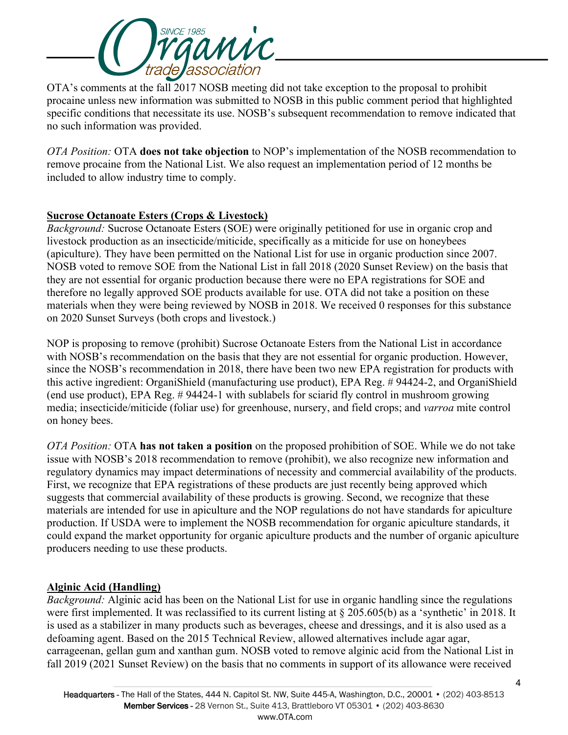

OTA's comments at the fall 2017 NOSB meeting did not take exception to the proposal to prohibit procaine unless new information was submitted to NOSB in this public comment period that highlighted specific conditions that necessitate its use. NOSB's subsequent recommendation to remove indicated that no such information was provided.

*OTA Position:* OTA **does not take objection** to NOP's implementation of the NOSB recommendation to remove procaine from the National List. We also request an implementation period of 12 months be included to allow industry time to comply.

## **Sucrose Octanoate Esters (Crops & Livestock)**

*Background:* Sucrose Octanoate Esters (SOE) were originally petitioned for use in organic crop and livestock production as an insecticide/miticide, specifically as a miticide for use on honeybees (apiculture). They have been permitted on the National List for use in organic production since 2007. NOSB voted to remove SOE from the National List in fall 2018 (2020 Sunset Review) on the basis that they are not essential for organic production because there were no EPA registrations for SOE and therefore no legally approved SOE products available for use. OTA did not take a position on these materials when they were being reviewed by NOSB in 2018. We received 0 responses for this substance on 2020 Sunset Surveys (both crops and livestock.)

NOP is proposing to remove (prohibit) Sucrose Octanoate Esters from the National List in accordance with NOSB's recommendation on the basis that they are not essential for organic production. However, since the NOSB's recommendation in 2018, there have been two new EPA registration for products with this active ingredient: OrganiShield (manufacturing use product), EPA Reg. # 94424-2, and OrganiShield (end use product), EPA Reg. # 94424-1 with sublabels for sciarid fly control in mushroom growing media; insecticide/miticide (foliar use) for greenhouse, nursery, and field crops; and *varroa* mite control on honey bees.

*OTA Position:* OTA **has not taken a position** on the proposed prohibition of SOE. While we do not take issue with NOSB's 2018 recommendation to remove (prohibit), we also recognize new information and regulatory dynamics may impact determinations of necessity and commercial availability of the products. First, we recognize that EPA registrations of these products are just recently being approved which suggests that commercial availability of these products is growing. Second, we recognize that these materials are intended for use in apiculture and the NOP regulations do not have standards for apiculture production. If USDA were to implement the NOSB recommendation for organic apiculture standards, it could expand the market opportunity for organic apiculture products and the number of organic apiculture producers needing to use these products.

# **Alginic Acid (Handling)**

*Background:* Alginic acid has been on the National List for use in organic handling since the regulations were first implemented. It was reclassified to its current listing at § 205.605(b) as a 'synthetic' in 2018. It is used as a stabilizer in many products such as beverages, cheese and dressings, and it is also used as a defoaming agent. Based on the 2015 Technical Review, allowed alternatives include agar agar, carrageenan, gellan gum and xanthan gum. NOSB voted to remove alginic acid from the National List in fall 2019 (2021 Sunset Review) on the basis that no comments in support of its allowance were received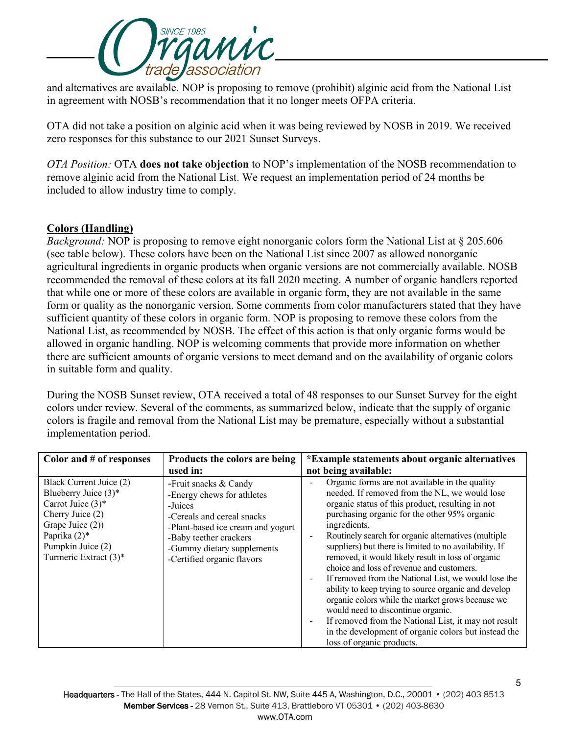

and alternatives are available. NOP is proposing to remove (prohibit) alginic acid from the National List in agreement with NOSB's recommendation that it no longer meets OFPA criteria.

OTA did not take a position on alginic acid when it was being reviewed by NOSB in 2019. We received zero responses for this substance to our 2021 Sunset Surveys.

*OTA Position:* OTA **does not take objection** to NOP's implementation of the NOSB recommendation to remove alginic acid from the National List. We request an implementation period of 24 months be included to allow industry time to comply.

## **Colors (Handling)**

*Background:* NOP is proposing to remove eight nonorganic colors form the National List at § 205.606 (see table below). These colors have been on the National List since 2007 as allowed nonorganic agricultural ingredients in organic products when organic versions are not commercially available. NOSB recommended the removal of these colors at its fall 2020 meeting. A number of organic handlers reported that while one or more of these colors are available in organic form, they are not available in the same form or quality as the nonorganic version. Some comments from color manufacturers stated that they have sufficient quantity of these colors in organic form. NOP is proposing to remove these colors from the National List, as recommended by NOSB. The effect of this action is that only organic forms would be allowed in organic handling. NOP is welcoming comments that provide more information on whether there are sufficient amounts of organic versions to meet demand and on the availability of organic colors in suitable form and quality.

During the NOSB Sunset review, OTA received a total of 48 responses to our Sunset Survey for the eight colors under review. Several of the comments, as summarized below, indicate that the supply of organic colors is fragile and removal from the National List may be premature, especially without a substantial implementation period.

| Color and $#$ of responses                                                                                                                                                          | Products the colors are being<br>used in:                                                                                                                                                                               | *Example statements about organic alternatives<br>not being available:                                                                                                                                                                                                                                                                                                                                                                                                                                                                                                                                                                                                                                                                                                                                                      |
|-------------------------------------------------------------------------------------------------------------------------------------------------------------------------------------|-------------------------------------------------------------------------------------------------------------------------------------------------------------------------------------------------------------------------|-----------------------------------------------------------------------------------------------------------------------------------------------------------------------------------------------------------------------------------------------------------------------------------------------------------------------------------------------------------------------------------------------------------------------------------------------------------------------------------------------------------------------------------------------------------------------------------------------------------------------------------------------------------------------------------------------------------------------------------------------------------------------------------------------------------------------------|
| Black Current Juice (2)<br>Blueberry Juice $(3)^*$<br>Carrot Juice $(3)^*$<br>Cherry Juice (2)<br>Grape Juice (2))<br>Paprika $(2)$ *<br>Pumpkin Juice (2)<br>Turmeric Extract (3)* | -Fruit snacks & Candy<br>-Energy chews for athletes<br>-Juices<br>-Cereals and cereal snacks<br>-Plant-based ice cream and yogurt<br>-Baby teether crackers<br>-Gummy dietary supplements<br>-Certified organic flavors | Organic forms are not available in the quality<br>$\overline{\phantom{a}}$<br>needed. If removed from the NL, we would lose<br>organic status of this product, resulting in not<br>purchasing organic for the other 95% organic<br>ingredients.<br>Routinely search for organic alternatives (multiple)<br>suppliers) but there is limited to no availability. If<br>removed, it would likely result in loss of organic<br>choice and loss of revenue and customers.<br>If removed from the National List, we would lose the<br>ability to keep trying to source organic and develop<br>organic colors while the market grows because we<br>would need to discontinue organic.<br>If removed from the National List, it may not result<br>in the development of organic colors but instead the<br>loss of organic products. |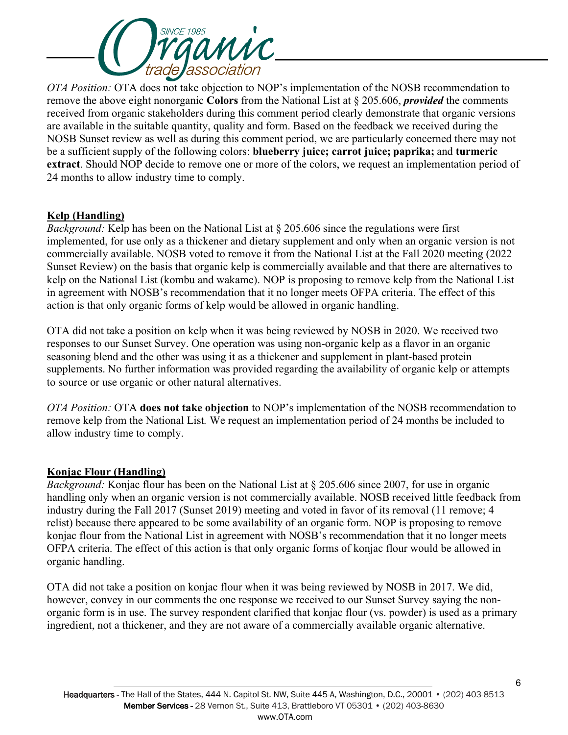

*OTA Position:* OTA does not take objection to NOP's implementation of the NOSB recommendation to remove the above eight nonorganic **Colors** from the National List at § 205.606, *provided* the comments received from organic stakeholders during this comment period clearly demonstrate that organic versions are available in the suitable quantity, quality and form. Based on the feedback we received during the NOSB Sunset review as well as during this comment period, we are particularly concerned there may not be a sufficient supply of the following colors: **blueberry juice; carrot juice; paprika;** and **turmeric extract**. Should NOP decide to remove one or more of the colors, we request an implementation period of 24 months to allow industry time to comply.

## **Kelp (Handling)**

*Background:* Kelp has been on the National List at § 205.606 since the regulations were first implemented, for use only as a thickener and dietary supplement and only when an organic version is not commercially available. NOSB voted to remove it from the National List at the Fall 2020 meeting (2022 Sunset Review) on the basis that organic kelp is commercially available and that there are alternatives to kelp on the National List (kombu and wakame). NOP is proposing to remove kelp from the National List in agreement with NOSB's recommendation that it no longer meets OFPA criteria. The effect of this action is that only organic forms of kelp would be allowed in organic handling.

OTA did not take a position on kelp when it was being reviewed by NOSB in 2020. We received two responses to our Sunset Survey. One operation was using non-organic kelp as a flavor in an organic seasoning blend and the other was using it as a thickener and supplement in plant-based protein supplements. No further information was provided regarding the availability of organic kelp or attempts to source or use organic or other natural alternatives.

*OTA Position:* OTA **does not take objection** to NOP's implementation of the NOSB recommendation to remove kelp from the National List*.* We request an implementation period of 24 months be included to allow industry time to comply.

# **Konjac Flour (Handling)**

*Background:* Konjac flour has been on the National List at § 205.606 since 2007, for use in organic handling only when an organic version is not commercially available. NOSB received little feedback from industry during the Fall 2017 (Sunset 2019) meeting and voted in favor of its removal (11 remove; 4 relist) because there appeared to be some availability of an organic form. NOP is proposing to remove konjac flour from the National List in agreement with NOSB's recommendation that it no longer meets OFPA criteria. The effect of this action is that only organic forms of konjac flour would be allowed in organic handling.

OTA did not take a position on konjac flour when it was being reviewed by NOSB in 2017. We did, however, convey in our comments the one response we received to our Sunset Survey saying the nonorganic form is in use. The survey respondent clarified that konjac flour (vs. powder) is used as a primary ingredient, not a thickener, and they are not aware of a commercially available organic alternative.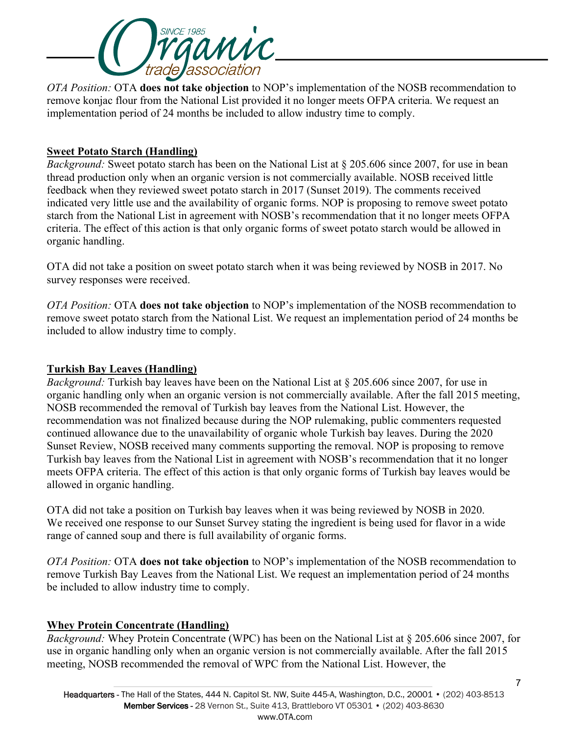

*OTA Position:* OTA **does not take objection** to NOP's implementation of the NOSB recommendation to remove konjac flour from the National List provided it no longer meets OFPA criteria. We request an implementation period of 24 months be included to allow industry time to comply.

## **Sweet Potato Starch (Handling)**

*Background:* Sweet potato starch has been on the National List at § 205.606 since 2007, for use in bean thread production only when an organic version is not commercially available. NOSB received little feedback when they reviewed sweet potato starch in 2017 (Sunset 2019). The comments received indicated very little use and the availability of organic forms. NOP is proposing to remove sweet potato starch from the National List in agreement with NOSB's recommendation that it no longer meets OFPA criteria. The effect of this action is that only organic forms of sweet potato starch would be allowed in organic handling.

OTA did not take a position on sweet potato starch when it was being reviewed by NOSB in 2017. No survey responses were received.

*OTA Position:* OTA **does not take objection** to NOP's implementation of the NOSB recommendation to remove sweet potato starch from the National List. We request an implementation period of 24 months be included to allow industry time to comply.

#### **Turkish Bay Leaves (Handling)**

*Background:* Turkish bay leaves have been on the National List at § 205.606 since 2007, for use in organic handling only when an organic version is not commercially available. After the fall 2015 meeting, NOSB recommended the removal of Turkish bay leaves from the National List. However, the recommendation was not finalized because during the NOP rulemaking, public commenters requested continued allowance due to the unavailability of organic whole Turkish bay leaves. During the 2020 Sunset Review, NOSB received many comments supporting the removal. NOP is proposing to remove Turkish bay leaves from the National List in agreement with NOSB's recommendation that it no longer meets OFPA criteria. The effect of this action is that only organic forms of Turkish bay leaves would be allowed in organic handling.

OTA did not take a position on Turkish bay leaves when it was being reviewed by NOSB in 2020. We received one response to our Sunset Survey stating the ingredient is being used for flavor in a wide range of canned soup and there is full availability of organic forms.

*OTA Position:* OTA **does not take objection** to NOP's implementation of the NOSB recommendation to remove Turkish Bay Leaves from the National List. We request an implementation period of 24 months be included to allow industry time to comply.

### **Whey Protein Concentrate (Handling)**

*Background:* Whey Protein Concentrate (WPC) has been on the National List at § 205.606 since 2007, for use in organic handling only when an organic version is not commercially available. After the fall 2015 meeting, NOSB recommended the removal of WPC from the National List. However, the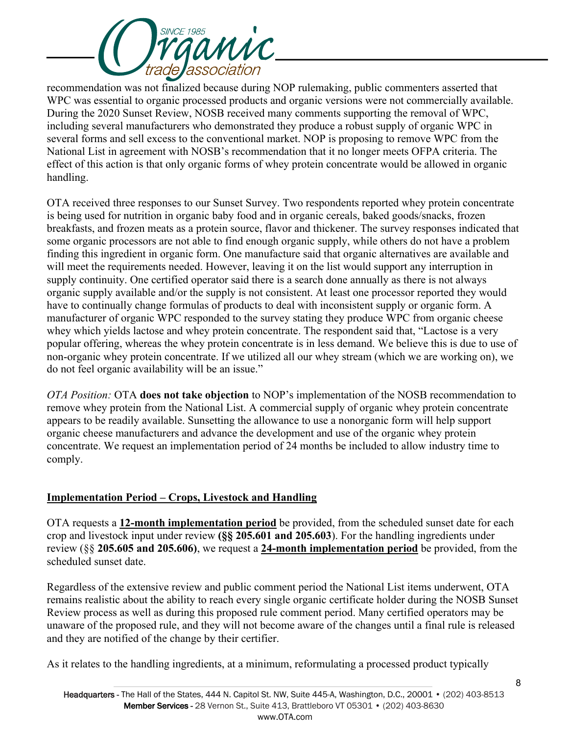

recommendation was not finalized because during NOP rulemaking, public commenters asserted that WPC was essential to organic processed products and organic versions were not commercially available. During the 2020 Sunset Review, NOSB received many comments supporting the removal of WPC, including several manufacturers who demonstrated they produce a robust supply of organic WPC in several forms and sell excess to the conventional market. NOP is proposing to remove WPC from the National List in agreement with NOSB's recommendation that it no longer meets OFPA criteria. The effect of this action is that only organic forms of whey protein concentrate would be allowed in organic handling.

OTA received three responses to our Sunset Survey. Two respondents reported whey protein concentrate is being used for nutrition in organic baby food and in organic cereals, baked goods/snacks, frozen breakfasts, and frozen meats as a protein source, flavor and thickener. The survey responses indicated that some organic processors are not able to find enough organic supply, while others do not have a problem finding this ingredient in organic form. One manufacture said that organic alternatives are available and will meet the requirements needed. However, leaving it on the list would support any interruption in supply continuity. One certified operator said there is a search done annually as there is not always organic supply available and/or the supply is not consistent. At least one processor reported they would have to continually change formulas of products to deal with inconsistent supply or organic form. A manufacturer of organic WPC responded to the survey stating they produce WPC from organic cheese whey which yields lactose and whey protein concentrate. The respondent said that, "Lactose is a very popular offering, whereas the whey protein concentrate is in less demand. We believe this is due to use of non-organic whey protein concentrate. If we utilized all our whey stream (which we are working on), we do not feel organic availability will be an issue."

*OTA Position:* OTA **does not take objection** to NOP's implementation of the NOSB recommendation to remove whey protein from the National List. A commercial supply of organic whey protein concentrate appears to be readily available. Sunsetting the allowance to use a nonorganic form will help support organic cheese manufacturers and advance the development and use of the organic whey protein concentrate. We request an implementation period of 24 months be included to allow industry time to comply.

# **Implementation Period – Crops, Livestock and Handling**

OTA requests a **12-month implementation period** be provided, from the scheduled sunset date for each crop and livestock input under review **(§§ 205.601 and 205.603**). For the handling ingredients under review (§§ **205.605 and 205.606)**, we request a **24-month implementation period** be provided, from the scheduled sunset date.

Regardless of the extensive review and public comment period the National List items underwent, OTA remains realistic about the ability to reach every single organic certificate holder during the NOSB Sunset Review process as well as during this proposed rule comment period. Many certified operators may be unaware of the proposed rule, and they will not become aware of the changes until a final rule is released and they are notified of the change by their certifier.

As it relates to the handling ingredients, at a minimum, reformulating a processed product typically